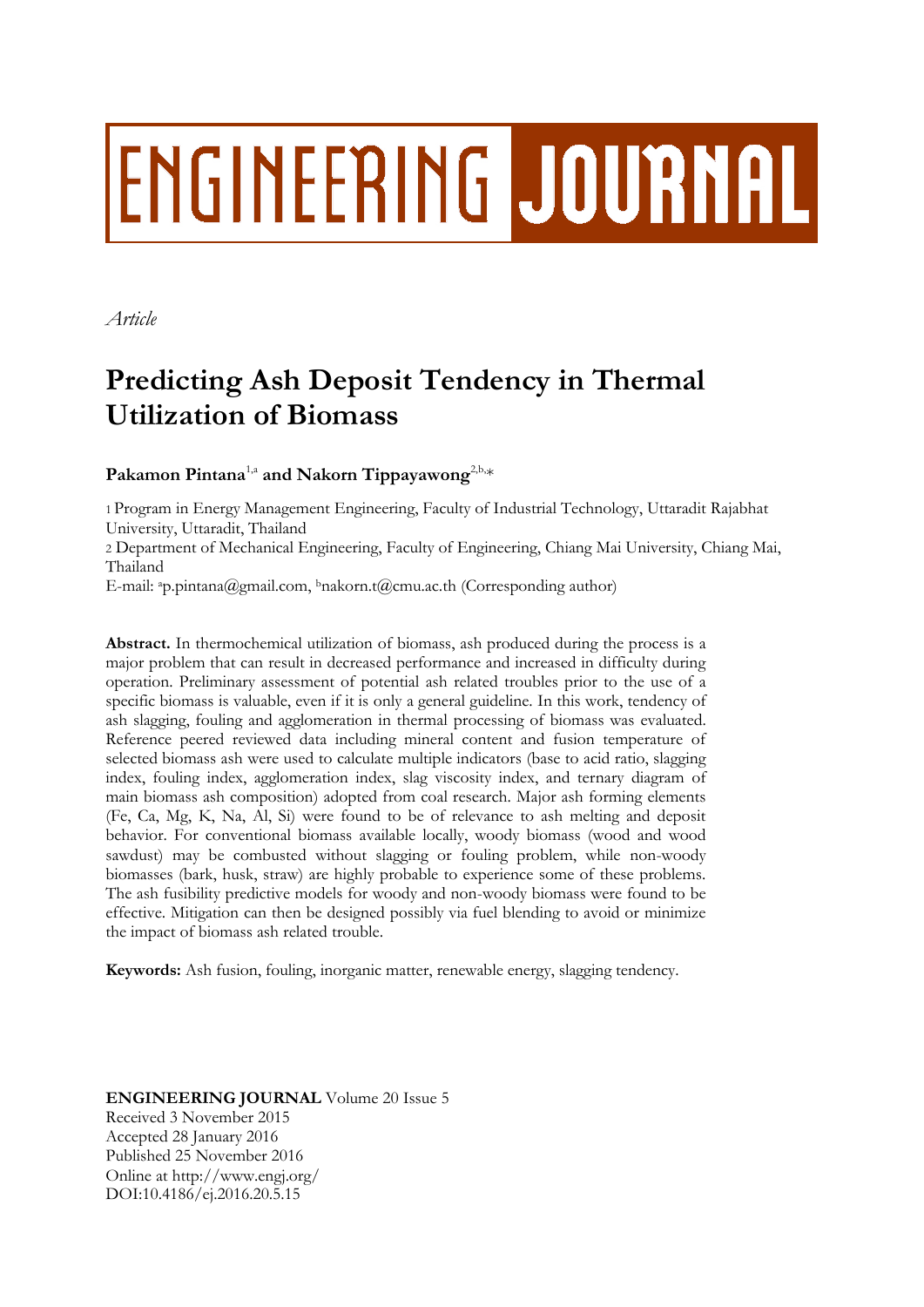# ENGINEERING JOURNAL

*Article*

# **Predicting Ash Deposit Tendency in Thermal Utilization of Biomass**

Pakamon Pintana<sup>1,a</sup> and Nakorn Tippayawong<sup>2,b,</sup>\*

1 Program in Energy Management Engineering, Faculty of Industrial Technology, Uttaradit Rajabhat University, Uttaradit, Thailand

2 Department of Mechanical Engineering, Faculty of Engineering, Chiang Mai University, Chiang Mai, Thailand

E-mail: <sup>a</sup>p.pintana@gmail.com, <sup>b</sup>nakorn.t@cmu.ac.th (Corresponding author)

**Abstract.** In thermochemical utilization of biomass, ash produced during the process is a major problem that can result in decreased performance and increased in difficulty during operation. Preliminary assessment of potential ash related troubles prior to the use of a specific biomass is valuable, even if it is only a general guideline. In this work, tendency of ash slagging, fouling and agglomeration in thermal processing of biomass was evaluated. Reference peered reviewed data including mineral content and fusion temperature of selected biomass ash were used to calculate multiple indicators (base to acid ratio, slagging index, fouling index, agglomeration index, slag viscosity index, and ternary diagram of main biomass ash composition) adopted from coal research. Major ash forming elements (Fe, Ca, Mg, K, Na, Al, Si) were found to be of relevance to ash melting and deposit behavior. For conventional biomass available locally, woody biomass (wood and wood sawdust) may be combusted without slagging or fouling problem, while non-woody biomasses (bark, husk, straw) are highly probable to experience some of these problems. The ash fusibility predictive models for woody and non-woody biomass were found to be effective. Mitigation can then be designed possibly via fuel blending to avoid or minimize the impact of biomass ash related trouble.

**Keywords:** Ash fusion, fouling, inorganic matter, renewable energy, slagging tendency.

**ENGINEERING JOURNAL** Volume 20 Issue 5 Received 3 November 2015 Accepted 28 January 2016 Published 25 November 2016 Online at http://www.engj.org/ DOI:10.4186/ej.2016.20.5.15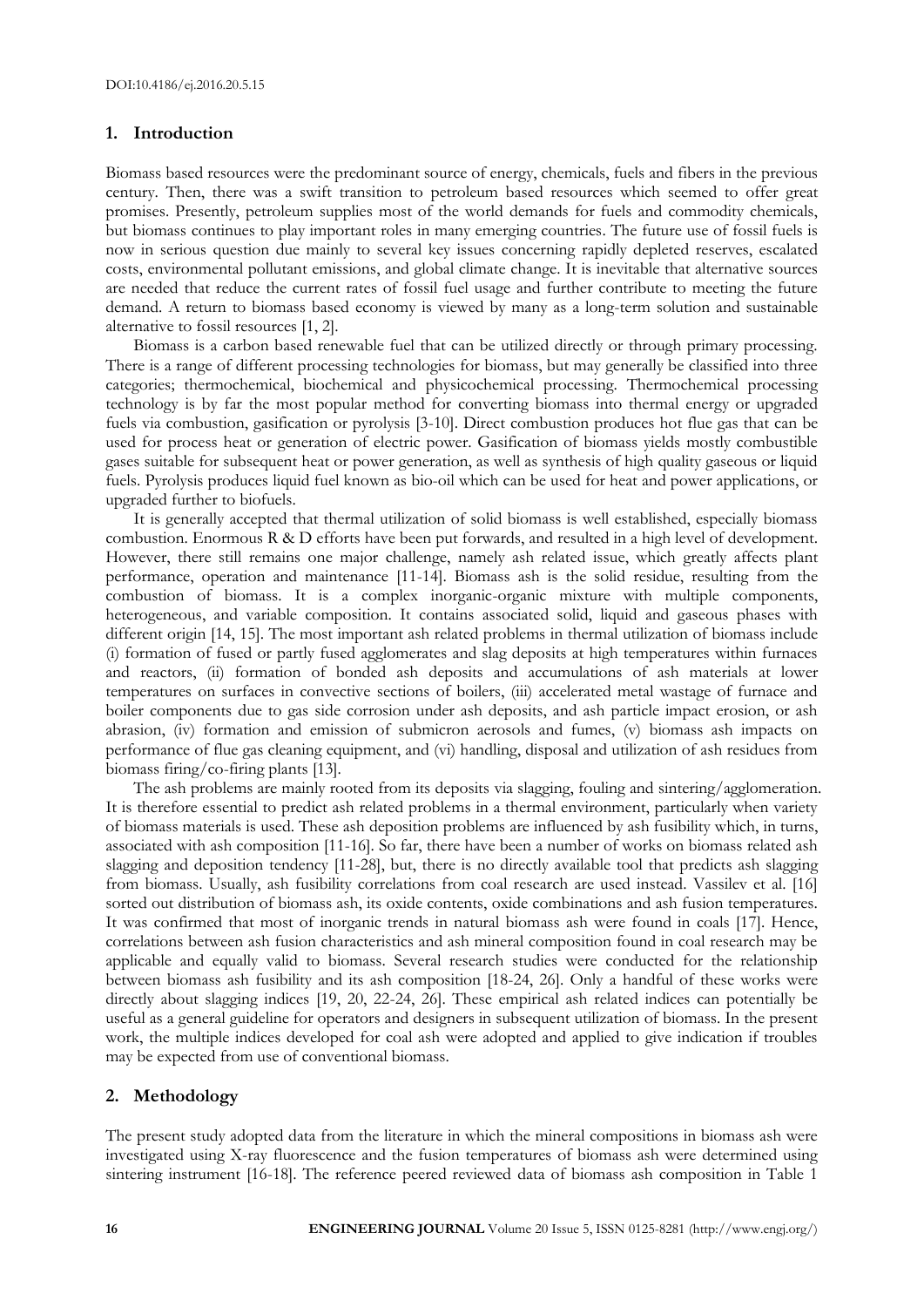## **1. Introduction**

Biomass based resources were the predominant source of energy, chemicals, fuels and fibers in the previous century. Then, there was a swift transition to petroleum based resources which seemed to offer great promises. Presently, petroleum supplies most of the world demands for fuels and commodity chemicals, but biomass continues to play important roles in many emerging countries. The future use of fossil fuels is now in serious question due mainly to several key issues concerning rapidly depleted reserves, escalated costs, environmental pollutant emissions, and global climate change. It is inevitable that alternative sources are needed that reduce the current rates of fossil fuel usage and further contribute to meeting the future demand. A return to biomass based economy is viewed by many as a long-term solution and sustainable alternative to fossil resources [1, 2].

Biomass is a carbon based renewable fuel that can be utilized directly or through primary processing. There is a range of different processing technologies for biomass, but may generally be classified into three categories; thermochemical, biochemical and physicochemical processing. Thermochemical processing technology is by far the most popular method for converting biomass into thermal energy or upgraded fuels via combustion, gasification or pyrolysis [3-10]. Direct combustion produces hot flue gas that can be used for process heat or generation of electric power. Gasification of biomass yields mostly combustible gases suitable for subsequent heat or power generation, as well as synthesis of high quality gaseous or liquid fuels. Pyrolysis produces liquid fuel known as bio-oil which can be used for heat and power applications, or upgraded further to biofuels.

It is generally accepted that thermal utilization of solid biomass is well established, especially biomass combustion. Enormous R & D efforts have been put forwards, and resulted in a high level of development. However, there still remains one major challenge, namely ash related issue, which greatly affects plant performance, operation and maintenance [11-14]. Biomass ash is the solid residue, resulting from the combustion of biomass. It is a complex inorganic-organic mixture with multiple components, heterogeneous, and variable composition. It contains associated solid, liquid and gaseous phases with different origin [14, 15]. The most important ash related problems in thermal utilization of biomass include (i) formation of fused or partly fused agglomerates and slag deposits at high temperatures within furnaces and reactors, (ii) formation of bonded ash deposits and accumulations of ash materials at lower temperatures on surfaces in convective sections of boilers, (iii) accelerated metal wastage of furnace and boiler components due to gas side corrosion under ash deposits, and ash particle impact erosion, or ash abrasion, (iv) formation and emission of submicron aerosols and fumes, (v) biomass ash impacts on performance of flue gas cleaning equipment, and (vi) handling, disposal and utilization of ash residues from biomass firing/co-firing plants [13].

The ash problems are mainly rooted from its deposits via slagging, fouling and sintering/agglomeration. It is therefore essential to predict ash related problems in a thermal environment, particularly when variety of biomass materials is used. These ash deposition problems are influenced by ash fusibility which, in turns, associated with ash composition [11-16]. So far, there have been a number of works on biomass related ash slagging and deposition tendency [11-28], but, there is no directly available tool that predicts ash slagging from biomass. Usually, ash fusibility correlations from coal research are used instead. Vassilev et al. [16] sorted out distribution of biomass ash, its oxide contents, oxide combinations and ash fusion temperatures. It was confirmed that most of inorganic trends in natural biomass ash were found in coals [17]. Hence, correlations between ash fusion characteristics and ash mineral composition found in coal research may be applicable and equally valid to biomass. Several research studies were conducted for the relationship between biomass ash fusibility and its ash composition [18-24, 26]. Only a handful of these works were directly about slagging indices [19, 20, 22-24, 26]. These empirical ash related indices can potentially be useful as a general guideline for operators and designers in subsequent utilization of biomass. In the present work, the multiple indices developed for coal ash were adopted and applied to give indication if troubles may be expected from use of conventional biomass.

# **2. Methodology**

The present study adopted data from the literature in which the mineral compositions in biomass ash were investigated using X-ray fluorescence and the fusion temperatures of biomass ash were determined using sintering instrument [16-18]. The reference peered reviewed data of biomass ash composition in Table 1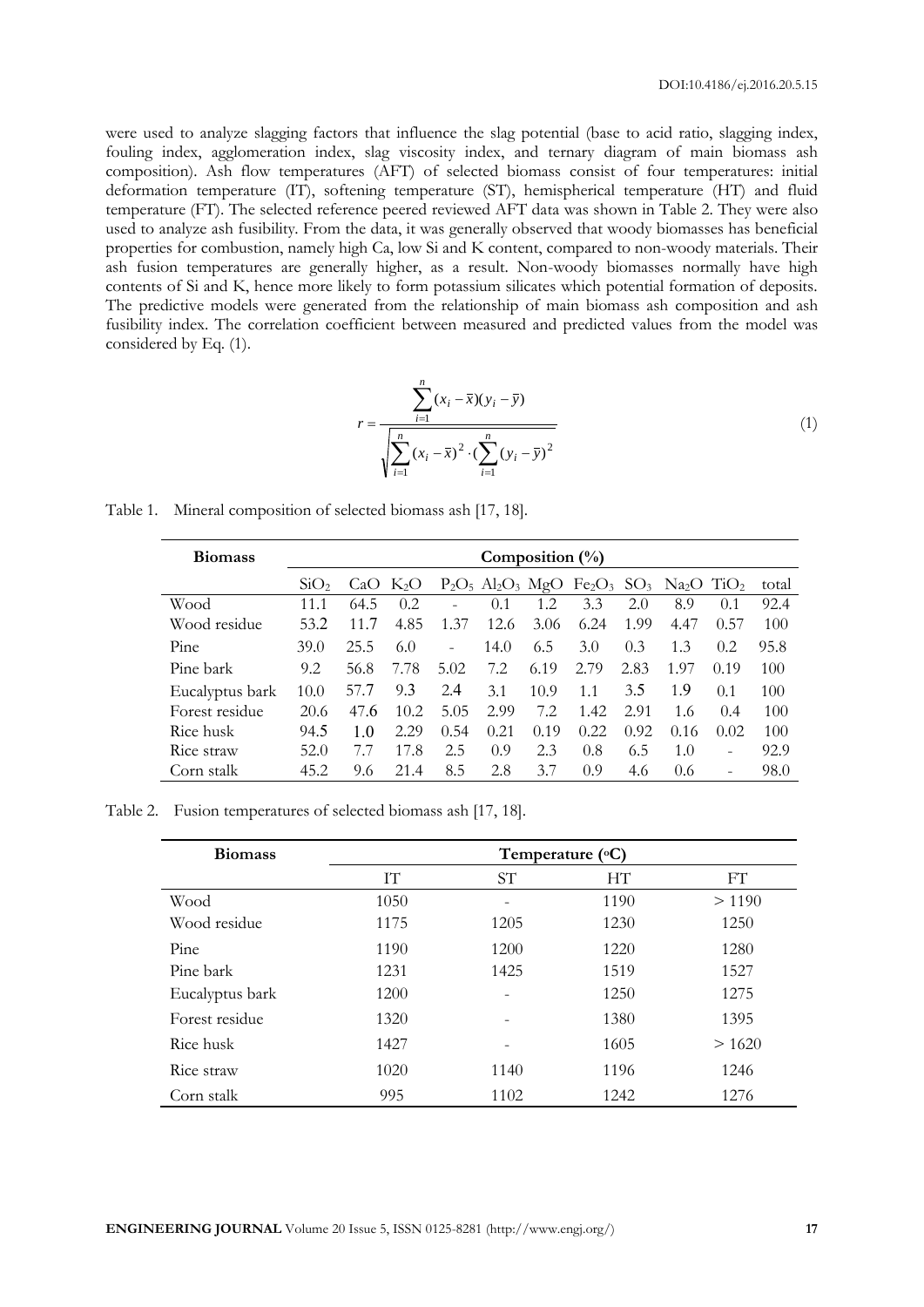were used to analyze slagging factors that influence the slag potential (base to acid ratio, slagging index, fouling index, agglomeration index, slag viscosity index, and ternary diagram of main biomass ash composition). Ash flow temperatures (AFT) of selected biomass consist of four temperatures: initial deformation temperature (IT), softening temperature (ST), hemispherical temperature (HT) and fluid temperature (FT). The selected reference peered reviewed AFT data was shown in Table 2. They were also used to analyze ash fusibility. From the data, it was generally observed that woody biomasses has beneficial properties for combustion, namely high Ca, low Si and K content, compared to non-woody materials. Their ash fusion temperatures are generally higher, as a result. Non-woody biomasses normally have high contents of Si and K, hence more likely to form potassium silicates which potential formation of deposits. The predictive models were generated from the relationship of main biomass ash composition and ash fusibility index. The correlation coefficient between measured and predicted values from the model was considered by Eq. (1).

$$
r = \frac{\sum_{i=1}^{n} (x_i - \bar{x})(y_i - \bar{y})}{\sqrt{\sum_{i=1}^{n} (x_i - \bar{x})^2 \cdot (\sum_{i=1}^{n} (y_i - \bar{y})^2}}
$$
(1)

Table 1. Mineral composition of selected biomass ash [17, 18].

| <b>Biomass</b>  | Composition $(\%)$ |      |                  |      |      |      |       |      |                                                                                                                                            |                          |       |
|-----------------|--------------------|------|------------------|------|------|------|-------|------|--------------------------------------------------------------------------------------------------------------------------------------------|--------------------------|-------|
|                 | $\mathrm{SiO}_2$   | Ca() | K <sub>2</sub> O |      |      |      |       |      | $P_2O_5$ Al <sub>2</sub> O <sub>3</sub> MgO Fe <sub>2</sub> O <sub>3</sub> SO <sub>3</sub> Na <sub>2</sub> O T <sub>1</sub> O <sub>2</sub> |                          | total |
| Wood            | 11.1               | 64.5 | 0.2              |      | 0.1  | 1.2  | 3.3   | 2.0  | 8.9                                                                                                                                        | 0.1                      | 92.4  |
| Wood residue    | 53.2               | 11.7 | 4.85             | 1.37 | 12.6 | 3.06 | 6.24  | 1.99 | 4.47                                                                                                                                       | 0.57                     | 100   |
| Pine            | 39.0               | 25.5 | 6.0              | ۳    | 14.0 | 6.5  | 3.0   | 0.3  | 1.3                                                                                                                                        | 0.2                      | 95.8  |
| Pine bark       | 9.2                | 56.8 | 7.78             | 5.02 | 7.2  | 6.19 | 2.79  | 2.83 | 1.97                                                                                                                                       | 0.19                     | 100   |
| Eucalyptus bark | 10.0               | 57.7 | 9.3              | 2.4  | 3.1  | 10.9 | 1.1   | 3.5  | 1.9                                                                                                                                        | 0.1                      | 100   |
| Forest residue  | 20.6               | 47.6 | 10.2             | 5.05 | 2.99 | 7.2  | 1.42  | 2.91 | 1.6                                                                                                                                        | 0.4                      | 100   |
| Rice husk       | 94.5               | 1.0  | 2.29             | 0.54 | 0.21 | 0.19 | 0.22. | 0.92 | 0.16                                                                                                                                       | 0.02                     | 100   |
| Rice straw      | 52.0               |      | 17.8             | 2.5  | 0.9  | 2.3  | 0.8   | 6.5  | 1.0                                                                                                                                        | $\overline{\phantom{0}}$ | 92.9  |
| Corn stalk      | 45.2               | 9.6  | 21.4             | 8.5  | 2.8  | 3.7  | 0.9   | 4.6  | $0.6^{\circ}$                                                                                                                              | $\qquad \qquad -$        | 98.0  |

Table 2. Fusion temperatures of selected biomass ash [17, 18].

| <b>Biomass</b>  | Temperature $(^{\circ}C)$ |                 |      |        |  |  |  |  |
|-----------------|---------------------------|-----------------|------|--------|--|--|--|--|
|                 | IТ                        | ST <sup>-</sup> | HТ   | FT     |  |  |  |  |
| Wood            | 1050                      |                 | 1190 | > 1190 |  |  |  |  |
| Wood residue    | 1175                      | 1205            | 1230 | 1250   |  |  |  |  |
| Pine            | 1190                      | 1200            | 1220 | 1280   |  |  |  |  |
| Pine bark       | 1231                      | 1425            | 1519 | 1527   |  |  |  |  |
| Eucalyptus bark | 1200                      |                 | 1250 | 1275   |  |  |  |  |
| Forest residue  | 1320                      |                 | 1380 | 1395   |  |  |  |  |
| Rice husk       | 1427                      |                 | 1605 | >1620  |  |  |  |  |
| Rice straw      | 1020                      | 1140            | 1196 | 1246   |  |  |  |  |
| Corn stalk      | 995                       | 1102            | 1242 | 1276   |  |  |  |  |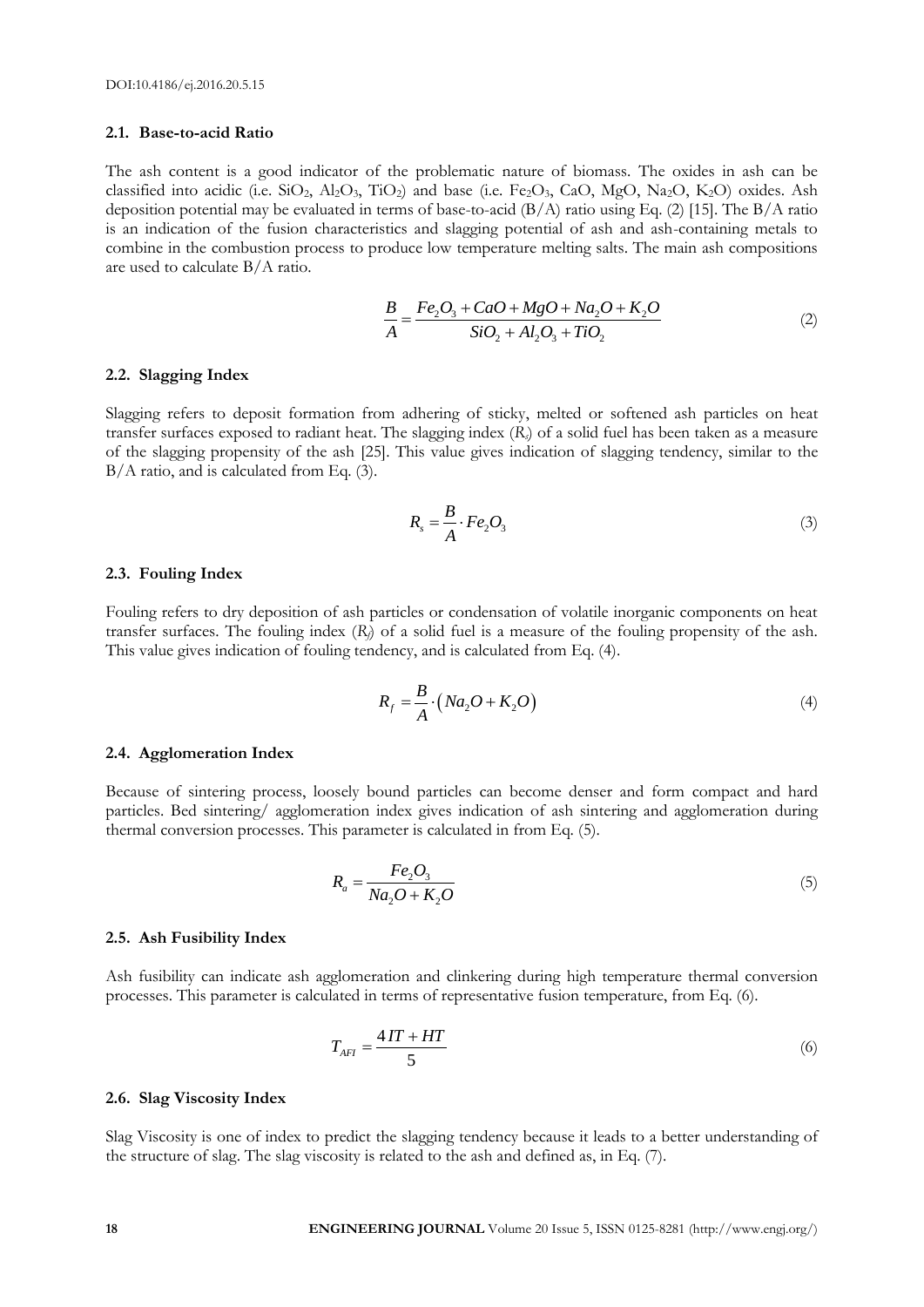### **2.1. Base-to-acid Ratio**

The ash content is a good indicator of the problematic nature of biomass. The oxides in ash can be classified into acidic (i.e.  $SiO_2$ ,  $Al_2O_3$ ,  $TiO_2$ ) and base (i.e.  $Fe_2O_3$ ,  $CaO$ ,  $MgO$ ,  $Na_2O$ ,  $K_2O$ ) oxides. Ash deposition potential may be evaluated in terms of base-to-acid  $(B/A)$  ratio using Eq. (2) [15]. The  $B/A$  ratio is an indication of the fusion characteristics and slagging potential of ash and ash-containing metals to combine in the combustion process to produce low temperature melting salts. The main ash compositions are used to calculate B/A ratio.

$$
\frac{B}{A} = \frac{Fe_2O_3 + CaO + MgO + Na_2O + K_2O}{SiO_2 + Al_2O_3 + TiO_2}
$$
\n(2)

#### **2.2. Slagging Index**

Slagging refers to deposit formation from adhering of sticky, melted or softened ash particles on heat transfer surfaces exposed to radiant heat. The slagging index (*Rs*) of a solid fuel has been taken as a measure of the slagging propensity of the ash [25]. This value gives indication of slagging tendency, similar to the B/A ratio, and is calculated from Eq. (3).

$$
R_s = \frac{B}{A} \cdot Fe_2O_3 \tag{3}
$$

#### **2.3. Fouling Index**

Fouling refers to dry deposition of ash particles or condensation of volatile inorganic components on heat transfer surfaces. The fouling index (*Rf*) of a solid fuel is a measure of the fouling propensity of the ash. This value gives indication of fouling tendency, and is calculated from Eq. (4).

$$
R_f = \frac{B}{A} \cdot (Na_2O + K_2O) \tag{4}
$$

#### **2.4. Agglomeration Index**

Because of sintering process, loosely bound particles can become denser and form compact and hard particles. Bed sintering/ agglomeration index gives indication of ash sintering and agglomeration during thermal conversion processes. This parameter is calculated in from Eq. (5).

$$
R_a = \frac{Fe_2O_3}{Na_2O + K_2O} \tag{5}
$$

#### **2.5. Ash Fusibility Index**

Ash fusibility can indicate ash agglomeration and clinkering during high temperature thermal conversion processes. This parameter is calculated in terms of representative fusion temperature, from Eq. (6).

$$
T_{AFI} = \frac{4IT + HT}{5} \tag{6}
$$

#### **2.6. Slag Viscosity Index**

Slag Viscosity is one of index to predict the slagging tendency because it leads to a better understanding of the structure of slag. The slag viscosity is related to the ash and defined as, in Eq. (7).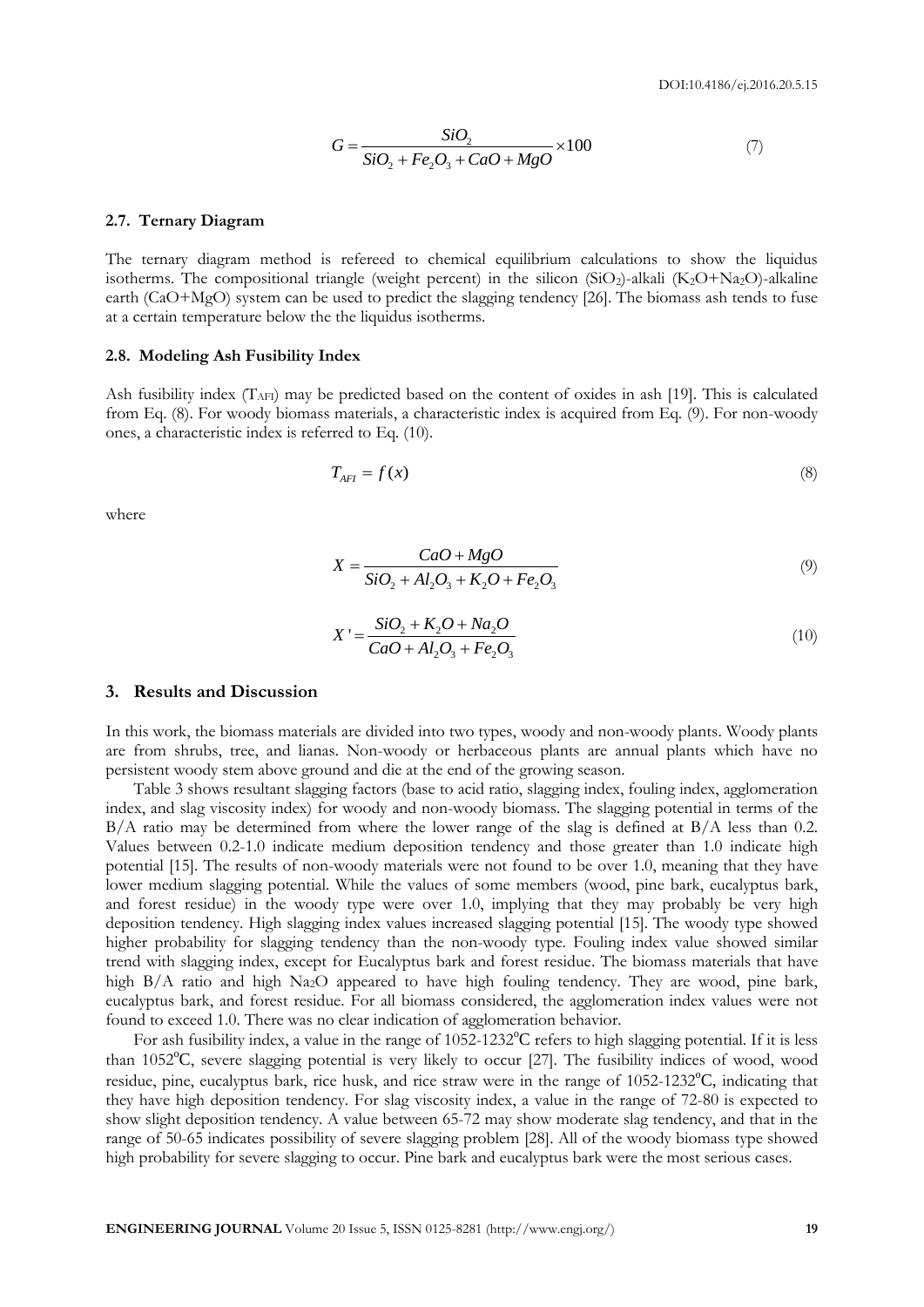$$
G = \frac{SiO_2}{SiO_2 + Fe_2O_3 + CaO + MgO} \times 100\tag{7}
$$

#### **2.7. Ternary Diagram**

The ternary diagram method is refereed to chemical equilibrium calculations to show the liquidus isotherms. The compositional triangle (weight percent) in the silicon (SiO<sub>2</sub>)-alkali (K<sub>2</sub>O+Na<sub>2</sub>O)-alkaline earth (CaO+MgO) system can be used to predict the slagging tendency [26]. The biomass ash tends to fuse at a certain temperature below the the liquidus isotherms.

#### **2.8. Modeling Ash Fusibility Index**

Ash fusibility index  $(T_{\text{AFI}})$  may be predicted based on the content of oxides in ash [19]. This is calculated from Eq. (8). For woody biomass materials, a characteristic index is acquired from Eq. (9). For non-woody ones, a characteristic index is referred to Eq. (10).

$$
T_{AFI} = f(x) \tag{8}
$$

where

$$
X = \frac{CaO + MgO}{SiO_2 + Al_2O_3 + K_2O + Fe_2O_3}
$$
\n(9)

$$
X' = \frac{SiO_2 + K_2O + Na_2O}{CaO + Al_2O_3 + Fe_2O_3}
$$
\n(10)

#### **3. Results and Discussion**

In this work, the biomass materials are divided into two types, woody and non-woody plants. Woody plants are from shrubs, tree, and lianas. Non-woody or herbaceous plants are annual plants which have no persistent woody stem above ground and die at the end of the growing season.

25.1 **Terms Diagram**<br>
25.1 **Terms Diagram**<br>
25.2 **Terms Diagram**<br>
26.2 **Englemental State Controlling Toward Properties and the state of the state of the state of the state of the state of the state of the state of the st** Table 3 shows resultant slagging factors (base to acid ratio, slagging index, fouling index, agglomeration index, and slag viscosity index) for woody and non-woody biomass. The slagging potential in terms of the B/A ratio may be determined from where the lower range of the slag is defined at B/A less than 0.2. Values between 0.2-1.0 indicate medium deposition tendency and those greater than 1.0 indicate high potential [15]. The results of non-woody materials were not found to be over 1.0, meaning that they have lower medium slagging potential. While the values of some members (wood, pine bark, eucalyptus bark, and forest residue) in the woody type were over 1.0, implying that they may probably be very high deposition tendency. High slagging index values increased slagging potential [15]. The woody type showed higher probability for slagging tendency than the non-woody type. Fouling index value showed similar trend with slagging index, except for Eucalyptus bark and forest residue. The biomass materials that have high B/A ratio and high Na<sub>2</sub>O appeared to have high fouling tendency. They are wood, pine bark, eucalyptus bark, and forest residue. For all biomass considered, the agglomeration index values were not found to exceed 1.0. There was no clear indication of agglomeration behavior.

For ash fusibility index, a value in the range of  $1052-1232^{\circ}C$  refers to high slagging potential. If it is less than 1052°C, severe slagging potential is very likely to occur [27]. The fusibility indices of wood, wood residue, pine, eucalyptus bark, rice husk, and rice straw were in the range of 1052-1232°C, indicating that they have high deposition tendency. For slag viscosity index, a value in the range of 72-80 is expected to show slight deposition tendency. A value between 65-72 may show moderate slag tendency, and that in the range of 50-65 indicates possibility of severe slagging problem [28]. All of the woody biomass type showed high probability for severe slagging to occur. Pine bark and eucalyptus bark were the most serious cases.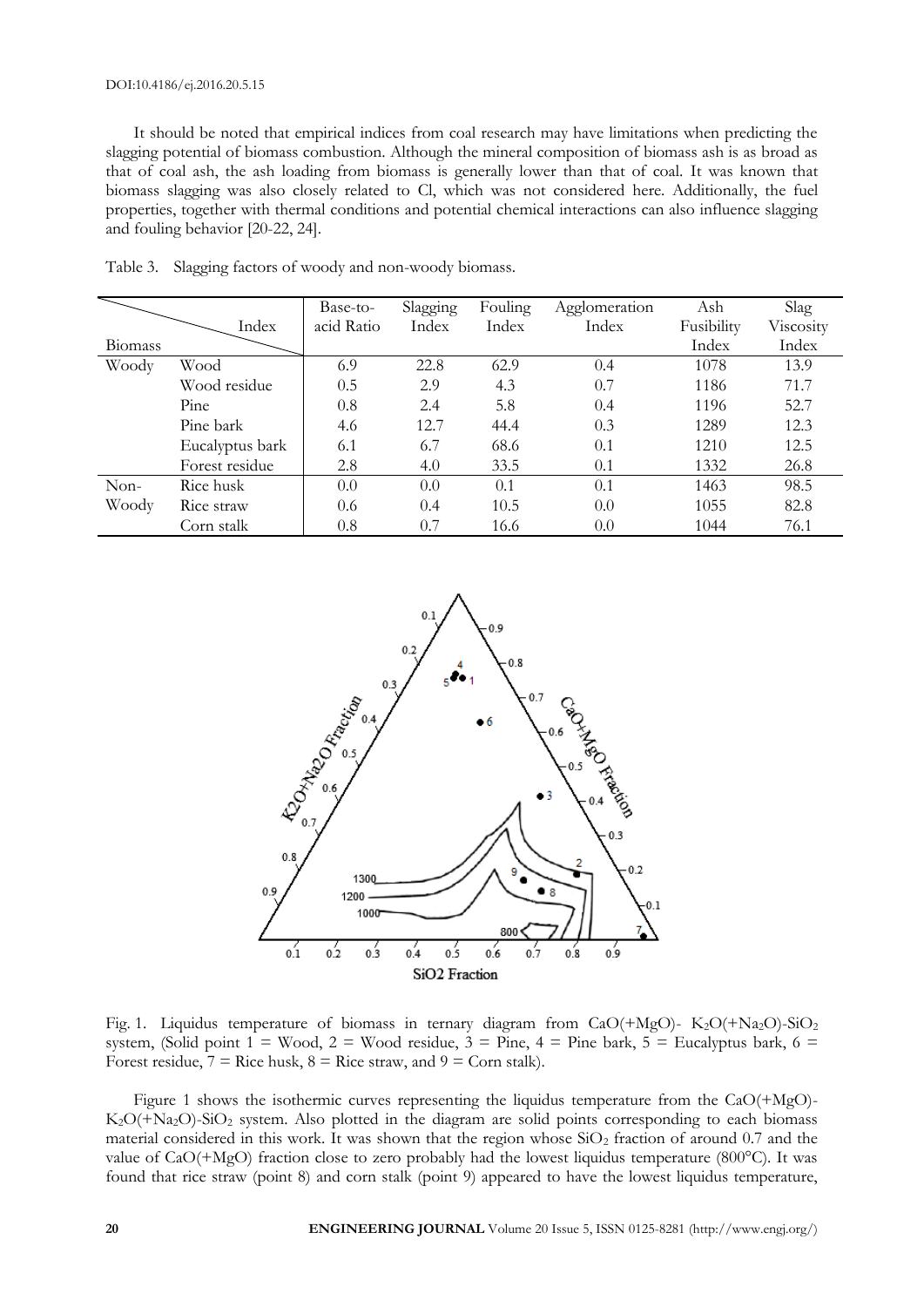#### DOI:10.4186/ej.2016.20.5.15

It should be noted that empirical indices from coal research may have limitations when predicting the slagging potential of biomass combustion. Although the mineral composition of biomass ash is as broad as that of coal ash, the ash loading from biomass is generally lower than that of coal. It was known that biomass slagging was also closely related to Cl, which was not considered here. Additionally, the fuel properties, together with thermal conditions and potential chemical interactions can also influence slagging and fouling behavior [20-22, 24].

|         |                 | Base-to-   | Slagging | Fouling | Agglomeration | Ash        | Slag      |
|---------|-----------------|------------|----------|---------|---------------|------------|-----------|
|         | Index           | acid Ratio | Index    | Index   | Index         | Fusibility | Viscosity |
| Biomass |                 |            |          |         |               | Index      | Index     |
| Woody   | Wood            | 6.9        | 22.8     | 62.9    | 0.4           | 1078       | 13.9      |
|         | Wood residue    | 0.5        | 2.9      | 4.3     | 0.7           | 1186       | 71.7      |
|         | Pine            | 0.8        | 2.4      | 5.8     | 0.4           | 1196       | 52.7      |
|         | Pine bark       | 4.6        | 12.7     | 44.4    | 0.3           | 1289       | 12.3      |
|         | Eucalyptus bark | 6.1        | 6.7      | 68.6    | 0.1           | 1210       | 12.5      |
|         | Forest residue  | 2.8        | 4.0      | 33.5    | 0.1           | 1332       | 26.8      |
| $Non-$  | Rice husk       | 0.0        | 0.0      | 0.1     | 0.1           | 1463       | 98.5      |
| Woody   | Rice straw      | 0.6        | 0.4      | 10.5    | 0.0           | 1055       | 82.8      |
|         | Corn stalk      | 0.8        | 0.7      | 16.6    | 0.0           | 1044       | 76.1      |

Table 3. Slagging factors of woody and non-woody biomass.



Fig. 1. Liquidus temperature of biomass in ternary diagram from CaO(+MgO)-  $K_2O(+N_{42}O)-SiO_2$ system, (Solid point  $1 =$  Wood,  $2 =$  Wood residue,  $3 =$  Pine,  $4 =$  Pine bark,  $5 =$  Eucalyptus bark,  $6 =$ Forest residue,  $7 =$  Rice husk,  $8 =$  Rice straw, and  $9 =$  Corn stalk).

Figure 1 shows the isothermic curves representing the liquidus temperature from the CaO(+MgO)-  $K_2O(+N_{42}O)-SiO_2$  system. Also plotted in the diagram are solid points corresponding to each biomass material considered in this work. It was shown that the region whose  $SiO<sub>2</sub>$  fraction of around 0.7 and the value of CaO(+MgO) fraction close to zero probably had the lowest liquidus temperature (800°C). It was found that rice straw (point 8) and corn stalk (point 9) appeared to have the lowest liquidus temperature,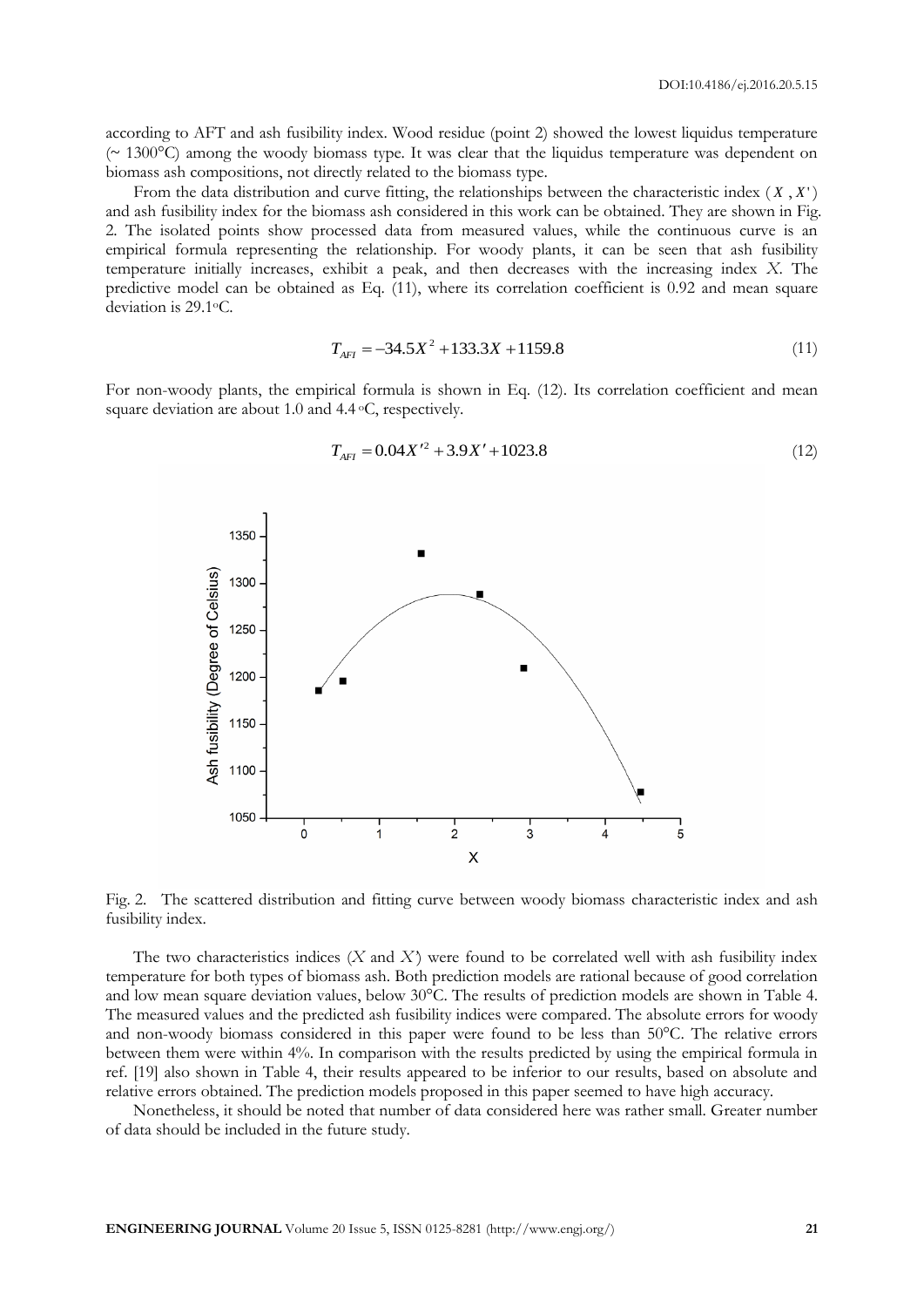according to AFT and ash fusibility index. Wood residue (point 2) showed the lowest liquidus temperature  $({\sim 1300\degree C})$  among the woody biomass type. It was clear that the liquidus temperature was dependent on biomass ash compositions, not directly related to the biomass type.

From the data distribution and curve fitting, the relationships between the characteristic index  $(X, X')$ and ash fusibility index for the biomass ash considered in this work can be obtained. They are shown in Fig. 2. The isolated points show processed data from measured values, while the continuous curve is an empirical formula representing the relationship. For woody plants, it can be seen that ash fusibility temperature initially increases, exhibit a peak, and then decreases with the increasing index *X*. The predictive model can be obtained as Eq. (11), where its correlation coefficient is 0.92 and mean square deviation is 29.1oC.

$$
T_{AFI} = -34.5X^2 + 133.3X + 1159.8
$$
\n(11)

For non-woody plants, the empirical formula is shown in Eq. (12). Its correlation coefficient and mean square deviation are about 1.0 and 4.4 °C, respectively.



$$
T_{AFI} = 0.04X^{\prime 2} + 3.9X^{\prime} + 1023.8\tag{12}
$$

Fig. 2. The scattered distribution and fitting curve between woody biomass characteristic index and ash fusibility index.

The two characteristics indices (*X* and *X'*) were found to be correlated well with ash fusibility index temperature for both types of biomass ash. Both prediction models are rational because of good correlation and low mean square deviation values, below 30°C. The results of prediction models are shown in Table 4. The measured values and the predicted ash fusibility indices were compared. The absolute errors for woody and non-woody biomass considered in this paper were found to be less than 50°C. The relative errors between them were within 4%. In comparison with the results predicted by using the empirical formula in ref. [19] also shown in Table 4, their results appeared to be inferior to our results, based on absolute and relative errors obtained. The prediction models proposed in this paper seemed to have high accuracy.

Nonetheless, it should be noted that number of data considered here was rather small. Greater number of data should be included in the future study.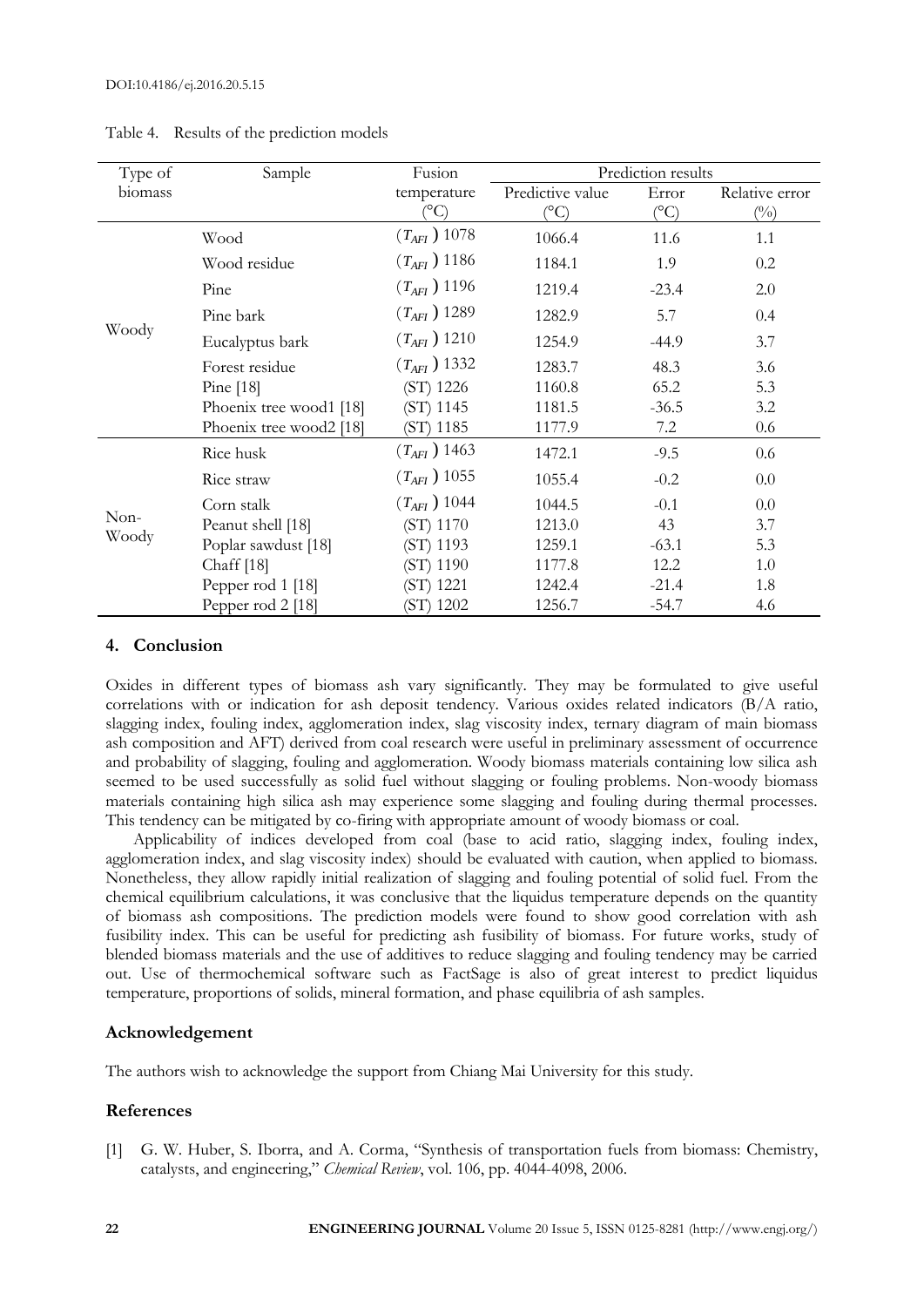| Type of       | Sample                  | Fusion                          | Prediction results       |                        |                                |  |  |
|---------------|-------------------------|---------------------------------|--------------------------|------------------------|--------------------------------|--|--|
| biomass       |                         | temperature<br>$\rm ^{\circ C}$ | Predictive value<br>(°C) | Error<br>$(^{\circ}C)$ | Relative error<br>$(^{0}_{0})$ |  |  |
| Woody         | Wood                    | $(T_{\text{AFI}}) 1078$         | 1066.4                   | 11.6                   | 1.1                            |  |  |
|               | Wood residue            | $(T_{AFI}) 1186$                | 1184.1                   | 1.9                    | 0.2                            |  |  |
|               | Pine                    | $(T_{\text{AFI}}) 1196$         | 1219.4                   | $-23.4$                | 2.0                            |  |  |
|               | Pine bark               | $(T_{AFI}) 1289$                | 1282.9                   | 5.7                    | 0.4                            |  |  |
|               | Eucalyptus bark         | $(T_{\text{AFI}}) 1210$         | 1254.9                   | $-44.9$                | 3.7                            |  |  |
|               | Forest residue          | $(T_{\text{AFI}})$ 1332         | 1283.7                   | 48.3                   | 3.6                            |  |  |
|               | Pine $[18]$             | (ST) 1226                       | 1160.8                   | 65.2                   | 5.3                            |  |  |
|               | Phoenix tree wood1 [18] | (ST) 1145                       | 1181.5                   | $-36.5$                | 3.2                            |  |  |
|               | Phoenix tree wood2 [18] | (ST) 1185                       | 1177.9                   | 7.2                    | 0.6                            |  |  |
| Non-<br>Woody | Rice husk               | $(T_{AFI})$ 1463                | 1472.1                   | $-9.5$                 | 0.6                            |  |  |
|               | Rice straw              | $(T_{AFI}) 1055$                | 1055.4                   | $-0.2$                 | 0.0                            |  |  |
|               | Corn stalk              | $(T_{AFI})$ 1044                | 1044.5                   | $-0.1$                 | 0.0                            |  |  |
|               | Peanut shell [18]       | (ST) 1170                       | 1213.0                   | 43                     | 3.7                            |  |  |
|               | Poplar sawdust [18]     | (ST) 1193                       | 1259.1                   | $-63.1$                | 5.3                            |  |  |
|               | Chaff $[18]$            | (ST) 1190                       | 1177.8                   | 12.2                   | 1.0                            |  |  |
|               | Pepper rod 1 [18]       | (ST) 1221                       | 1242.4                   | $-21.4$                | 1.8                            |  |  |
|               | Pepper rod 2 [18]       | (ST) 1202                       | 1256.7                   | $-54.7$                | 4.6                            |  |  |

Table 4. Results of the prediction models

# **4. Conclusion**

Oxides in different types of biomass ash vary significantly. They may be formulated to give useful correlations with or indication for ash deposit tendency. Various oxides related indicators (B/A ratio, slagging index, fouling index, agglomeration index, slag viscosity index, ternary diagram of main biomass ash composition and AFT) derived from coal research were useful in preliminary assessment of occurrence and probability of slagging, fouling and agglomeration. Woody biomass materials containing low silica ash seemed to be used successfully as solid fuel without slagging or fouling problems. Non-woody biomass materials containing high silica ash may experience some slagging and fouling during thermal processes. This tendency can be mitigated by co-firing with appropriate amount of woody biomass or coal.

Applicability of indices developed from coal (base to acid ratio, slagging index, fouling index, agglomeration index, and slag viscosity index) should be evaluated with caution, when applied to biomass. Nonetheless, they allow rapidly initial realization of slagging and fouling potential of solid fuel. From the chemical equilibrium calculations, it was conclusive that the liquidus temperature depends on the quantity of biomass ash compositions. The prediction models were found to show good correlation with ash fusibility index. This can be useful for predicting ash fusibility of biomass. For future works, study of blended biomass materials and the use of additives to reduce slagging and fouling tendency may be carried out. Use of thermochemical software such as FactSage is also of great interest to predict liquidus temperature, proportions of solids, mineral formation, and phase equilibria of ash samples.

# **Acknowledgement**

The authors wish to acknowledge the support from Chiang Mai University for this study.

# **References**

[1] G. W. Huber, S. Iborra, and A. Corma, "Synthesis of transportation fuels from biomass: Chemistry, catalysts, and engineering," *Chemical Review*, vol. 106, pp. 4044-4098, 2006.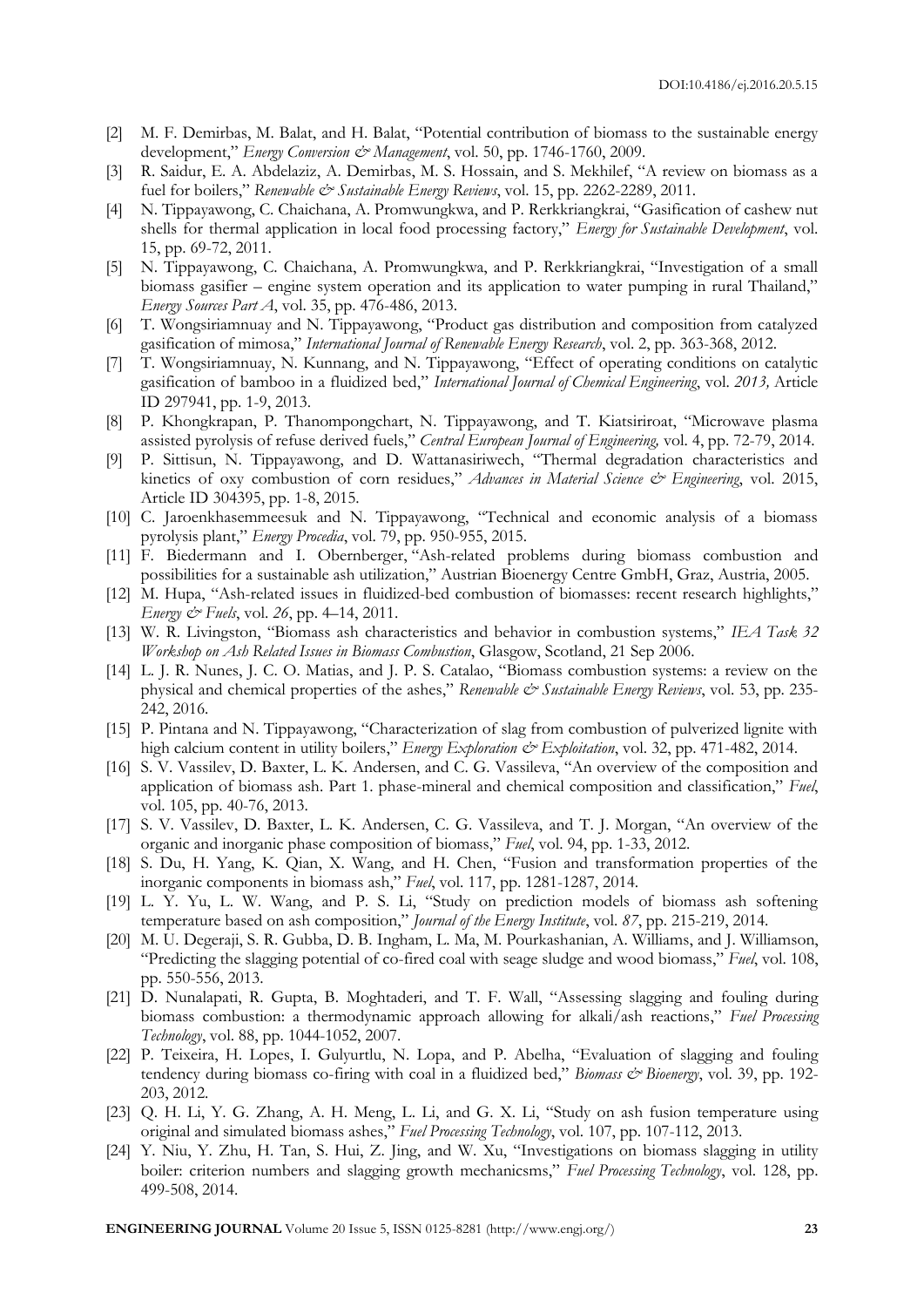- [2] M. F. Demirbas, M. Balat, and H. Balat, "Potential contribution of biomass to the sustainable energy development," *Energy Conversion & Management*, vol. 50, pp. 1746-1760, 2009.
- [3] R. Saidur, E. A. Abdelaziz, A. Demirbas, M. S. Hossain, and S. Mekhilef, "A review on biomass as a fuel for boilers," *Renewable & Sustainable Energy Reviews*, vol. 15, pp. 2262-2289, 2011.
- [4] N. Tippayawong, C. Chaichana, A. Promwungkwa, and P. Rerkkriangkrai, "Gasification of cashew nut shells for thermal application in local food processing factory," *Energy for Sustainable Development*, vol. 15, pp. 69-72, 2011.
- [5] N. Tippayawong, C. Chaichana, A. Promwungkwa, and P. Rerkkriangkrai, "Investigation of a small biomass gasifier – engine system operation and its application to water pumping in rural Thailand," *Energy Sources Part A*, vol. 35, pp. 476-486, 2013.
- [6] T. Wongsiriamnuay and N. Tippayawong, "Product gas distribution and composition from catalyzed gasification of mimosa," *International Journal of Renewable Energy Research*, vol. 2, pp. 363-368, 2012.
- [7] T. Wongsiriamnuay, N. Kunnang, and N. Tippayawong, "Effect of operating conditions on catalytic gasification of bamboo in a fluidized bed," *International Journal of Chemical Engineering*, vol. *2013,* Article ID 297941, pp. 1-9, 2013.
- [8] P. Khongkrapan, P. Thanompongchart, N. Tippayawong, and T. Kiatsiriroat, "Microwave plasma assisted pyrolysis of refuse derived fuels," *Central European Journal of Engineering,* vol. 4, pp. 72-79, 2014.
- [9] P. Sittisun, N. Tippayawong, and D. Wattanasiriwech, "Thermal degradation characteristics and kinetics of oxy combustion of corn residues," *Advances in Material Science & Engineering*, vol. 2015, Article ID 304395, pp. 1-8, 2015.
- [10] C. Jaroenkhasemmeesuk and N. Tippayawong, "Technical and economic analysis of a biomass pyrolysis plant," *Energy Procedia*, vol. 79, pp. 950-955, 2015.
- [11] F. Biedermann and I. Obernberger, "Ash-related problems during biomass combustion and possibilities for a sustainable ash utilization," Austrian Bioenergy Centre GmbH, Graz, Austria, 2005.
- [12] M. Hupa, "Ash-related issues in fluidized-bed combustion of biomasses: recent research highlights," *Energy & Fuels*, vol. *26*, pp. 4–14, 2011.
- [13] W. R. Livingston, "Biomass ash characteristics and behavior in combustion systems," *IEA Task 32 Workshop on Ash Related Issues in Biomass Combustion*, Glasgow, Scotland, 21 Sep 2006.
- [14] L. J. R. Nunes, J. C. O. Matias, and J. P. S. Catalao, "Biomass combustion systems: a review on the physical and chemical properties of the ashes," *Renewable & Sustainable Energy Reviews*, vol. 53, pp. 235-242, 2016.
- [15] P. Pintana and N. Tippayawong, "Characterization of slag from combustion of pulverized lignite with high calcium content in utility boilers," *Energy Exploration & Exploitation*, vol. 32, pp. 471-482, 2014.
- [16] S. V. Vassilev, D. Baxter, L. K. Andersen, and C. G. Vassileva, "An overview of the composition and application of biomass ash. Part 1. phase-mineral and chemical composition and classification," *Fuel*, vol. 105, pp. 40-76, 2013.
- [17] S. V. Vassilev, D. Baxter, L. K. Andersen, C. G. Vassileva, and T. J. Morgan, "An overview of the organic and inorganic phase composition of biomass," *Fuel*, vol. 94, pp. 1-33, 2012.
- [18] S. Du, H. Yang, K. Qian, X. Wang, and H. Chen, "Fusion and transformation properties of the inorganic components in biomass ash," *Fuel*, vol. 117, pp. 1281-1287, 2014.
- [19] L. Y. Yu, L. W. Wang, and P. S. Li, "Study on prediction models of biomass ash softening temperature based on ash composition," *Journal of the Energy Institute*, vol. *87*, pp. 215-219, 2014.
- [20] M. U. Degeraji, S. R. Gubba, D. B. Ingham, L. Ma, M. Pourkashanian, A. Williams, and J. Williamson, "Predicting the slagging potential of co-fired coal with seage sludge and wood biomass," *Fuel*, vol. 108, pp. 550-556, 2013.
- [21] D. Nunalapati, R. Gupta, B. Moghtaderi, and T. F. Wall, "Assessing slagging and fouling during biomass combustion: a thermodynamic approach allowing for alkali/ash reactions," *Fuel Processing Technology*, vol. 88, pp. 1044-1052, 2007.
- [22] P. Teixeira, H. Lopes, I. Gulyurtlu, N. Lopa, and P. Abelha, "Evaluation of slagging and fouling tendency during biomass co-firing with coal in a fluidized bed," *Biomass & Bioenergy*, vol. 39, pp. 192-203, 2012.
- [23] Q. H. Li, Y. G. Zhang, A. H. Meng, L. Li, and G. X. Li, "Study on ash fusion temperature using original and simulated biomass ashes," *Fuel Processing Technology*, vol. 107, pp. 107-112, 2013.
- [24] Y. Niu, Y. Zhu, H. Tan, S. Hui, Z. Jing, and W. Xu, "Investigations on biomass slagging in utility boiler: criterion numbers and slagging growth mechanicsms," *Fuel Processing Technology*, vol. 128, pp. 499-508, 2014.

**ENGINEERING JOURNAL** Volume 20 Issue 5, ISSN 0125-8281 (http://www.engj.org/) **23**